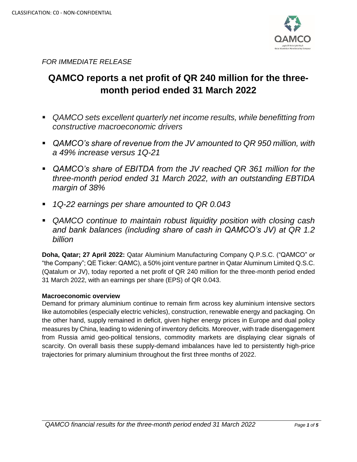

*FOR IMMEDIATE RELEASE*

# **QAMCO reports a net profit of QR 240 million for the threemonth period ended 31 March 2022**

- *QAMCO sets excellent quarterly net income results, while benefitting from constructive macroeconomic drivers*
- *QAMCO's share of revenue from the JV amounted to QR 950 million, with a 49% increase versus 1Q-21*
- *QAMCO's share of EBITDA from the JV reached QR 361 million for the three-month period ended 31 March 2022, with an outstanding EBTIDA margin of 38%*
- *1Q-22 earnings per share amounted to QR 0.043*
- *QAMCO continue to maintain robust liquidity position with closing cash and bank balances (including share of cash in QAMCO's JV) at QR 1.2 billion*

**Doha, Qatar; 27 April 2022:** Qatar Aluminium Manufacturing Company Q.P.S.C. ("QAMCO" or "the Company"; QE Ticker: QAMC), a 50% joint venture partner in Qatar Aluminum Limited Q.S.C. (Qatalum or JV), today reported a net profit of QR 240 million for the three-month period ended 31 March 2022, with an earnings per share (EPS) of QR 0.043.

# **Macroeconomic overview**

Demand for primary aluminium continue to remain firm across key aluminium intensive sectors like automobiles (especially electric vehicles), construction, renewable energy and packaging. On the other hand, supply remained in deficit, given higher energy prices in Europe and dual policy measures by China, leading to widening of inventory deficits. Moreover, with trade disengagement from Russia amid geo-political tensions, commodity markets are displaying clear signals of scarcity. On overall basis these supply-demand imbalances have led to persistently high-price trajectories for primary aluminium throughout the first three months of 2022.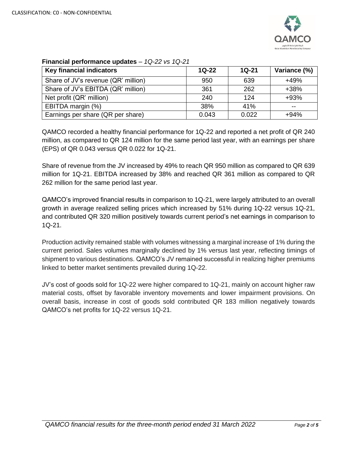

| <b>Key financial indicators</b>     | $1Q-22$ | $1Q-21$ | Variance (%) |
|-------------------------------------|---------|---------|--------------|
| Share of JV's revenue (QR' million) | 950     | 639     | $+49%$       |
| Share of JV's EBITDA (QR' million)  | 361     | 262     | $+38%$       |
| Net profit (QR' million)            | 240     | 124     | $+93%$       |
| EBITDA margin (%)                   | 38%     | 41%     | --           |
| Earnings per share (QR per share)   | 0.043   | 0.022   | $+94%$       |

## **Financial performance updates** – *1Q-22 vs 1Q-21*

QAMCO recorded a healthy financial performance for 1Q-22 and reported a net profit of QR 240 million, as compared to QR 124 million for the same period last year, with an earnings per share (EPS) of QR 0.043 versus QR 0.022 for 1Q-21.

Share of revenue from the JV increased by 49% to reach QR 950 million as compared to QR 639 million for 1Q-21. EBITDA increased by 38% and reached QR 361 million as compared to QR 262 million for the same period last year.

QAMCO's improved financial results in comparison to 1Q-21, were largely attributed to an overall growth in average realized selling prices which increased by 51% during 1Q-22 versus 1Q-21, and contributed QR 320 million positively towards current period's net earnings in comparison to 1Q-21.

Production activity remained stable with volumes witnessing a marginal increase of 1% during the current period. Sales volumes marginally declined by 1% versus last year, reflecting timings of shipment to various destinations. QAMCO's JV remained successful in realizing higher premiums linked to better market sentiments prevailed during 1Q-22.

JV's cost of goods sold for 1Q-22 were higher compared to 1Q-21, mainly on account higher raw material costs, offset by favorable inventory movements and lower impairment provisions. On overall basis, increase in cost of goods sold contributed QR 183 million negatively towards QAMCO's net profits for 1Q-22 versus 1Q-21.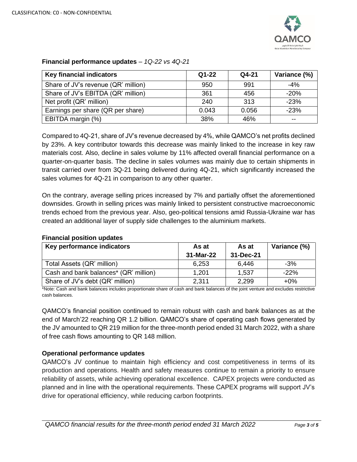

| <b>Key financial indicators</b>     | $Q1 - 22$ | Q4-21 | Variance (%) |
|-------------------------------------|-----------|-------|--------------|
| Share of JV's revenue (QR' million) | 950       | 991   | $-4\%$       |
| Share of JV's EBITDA (QR' million)  | 361       | 456   | $-20%$       |
| Net profit (QR' million)            | 240       | 313   | $-23%$       |
| Earnings per share (QR per share)   | 0.043     | 0.056 | $-23%$       |
| EBITDA margin (%)                   | 38%       | 46%   | --           |

## **Financial performance updates** – *1Q-22 vs 4Q-21*

Compared to 4Q-21, share of JV's revenue decreased by 4%, while QAMCO's net profits declined by 23%. A key contributor towards this decrease was mainly linked to the increase in key raw materials cost. Also, decline in sales volume by 11% affected overall financial performance on a quarter-on-quarter basis. The decline in sales volumes was mainly due to certain shipments in transit carried over from 3Q-21 being delivered during 4Q-21, which significantly increased the sales volumes for 4Q-21 in comparison to any other quarter.

On the contrary, average selling prices increased by 7% and partially offset the aforementioned downsides. Growth in selling prices was mainly linked to persistent constructive macroeconomic trends echoed from the previous year. Also, geo-political tensions amid Russia-Ukraine war has created an additional layer of supply side challenges to the aluminium markets.

| Key performance indicators            | As at     | As at     | Variance (%) |
|---------------------------------------|-----------|-----------|--------------|
|                                       | 31-Mar-22 | 31-Dec-21 |              |
| Total Assets (QR' million)            | 6,253     | 6.446     | $-3%$        |
| Cash and bank balances* (QR' million) | 1.201     | 1.537     | $-22%$       |
| Share of JV's debt (QR' million)      | 2,311     | 2,299     | $+0\%$       |

## **Financial position updates**

\*Note: Cash and bank balances includes proportionate share of cash and bank balances of the joint venture and excludes restrictive cash balances.

QAMCO's financial position continued to remain robust with cash and bank balances as at the end of March'22 reaching QR 1.2 billion. QAMCO's share of operating cash flows generated by the JV amounted to QR 219 million for the three-month period ended 31 March 2022, with a share of free cash flows amounting to QR 148 million.

## **Operational performance updates**

QAMCO's JV continue to maintain high efficiency and cost competitiveness in terms of its production and operations. Health and safety measures continue to remain a priority to ensure reliability of assets, while achieving operational excellence. CAPEX projects were conducted as planned and in line with the operational requirements. These CAPEX programs will support JV's drive for operational efficiency, while reducing carbon footprints.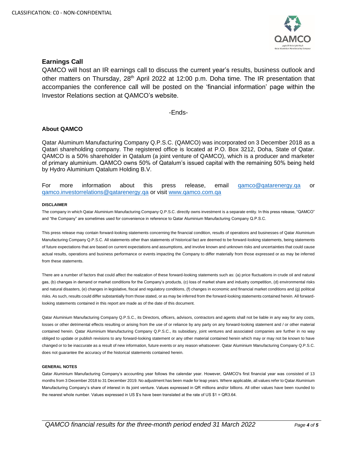

#### **Earnings Call**

QAMCO will host an IR earnings call to discuss the current year's results, business outlook and other matters on Thursday, 28<sup>th</sup> April 2022 at 12:00 p.m. Doha time. The IR presentation that accompanies the conference call will be posted on the 'financial information' page within the Investor Relations section at QAMCO's website.

-Ends-

#### **About QAMCO**

Qatar Aluminum Manufacturing Company Q.P.S.C. (QAMCO) was incorporated on 3 December 2018 as a Qatari shareholding company. The registered office is located at P.O. Box 3212, Doha, State of Qatar. QAMCO is a 50% shareholder in Qatalum (a joint venture of QAMCO), which is a producer and marketer of primary aluminium. QAMCO owns 50% of Qatalum's issued capital with the remaining 50% being held by Hydro Aluminium Qatalum Holding B.V.

For more information about this press release, email [qamco@qatarenergy.qa](mailto:qamco@qp.com.qa) or [qamco.investorrelations@qatarenergy.qa](mailto:qamco.investorrelations@qatarenergy.qa) or visit [www.qamco.com.qa](http://www.qamco.com.qa/)

#### **DISCLAIMER**

The company in which Qatar Aluminium Manufacturing Company Q.P.S.C. directly owns investment is a separate entity. In this press release, "QAMCO" and "the Company" are sometimes used for convenience in reference to Qatar Aluminium Manufacturing Company Q.P.S.C.

This press release may contain forward-looking statements concerning the financial condition, results of operations and businesses of Qatar Aluminium Manufacturing Company Q.P.S.C. All statements other than statements of historical fact are deemed to be forward-looking statements, being statements of future expectations that are based on current expectations and assumptions, and involve known and unknown risks and uncertainties that could cause actual results, operations and business performance or events impacting the Company to differ materially from those expressed or as may be inferred from these statements.

There are a number of factors that could affect the realization of these forward-looking statements such as: (a) price fluctuations in crude oil and natural gas, (b) changes in demand or market conditions for the Company's products, (c) loss of market share and industry competition, (d) environmental risks and natural disasters, (e) changes in legislative, fiscal and regulatory conditions, (f) changes in economic and financial market conditions and (g) political risks. As such, results could differ substantially from those stated, or as may be inferred from the forward-looking statements contained herein. All forwardlooking statements contained in this report are made as of the date of this document.

Qatar Aluminium Manufacturing Company Q.P.S.C., its Directors, officers, advisors, contractors and agents shall not be liable in any way for any costs, losses or other detrimental effects resulting or arising from the use of or reliance by any party on any forward-looking statement and / or other material contained herein. Qatar Aluminium Manufacturing Company Q.P.S.C., its subsidiary, joint ventures and associated companies are further in no way obliged to update or publish revisions to any forward-looking statement or any other material contained herein which may or may not be known to have changed or to be inaccurate as a result of new information, future events or any reason whatsoever. Qatar Aluminium Manufacturing Company Q.P.S.C. does not guarantee the accuracy of the historical statements contained herein.

#### **GENERAL NOTES**

Qatar Aluminium Manufacturing Company's accounting year follows the calendar year. However, QAMCO's first financial year was consisted of 13 months from 3 December 2018 to 31 December 2019. No adjustment has been made for leap years. Where applicable, all values refer to Qatar Aluminium Manufacturing Company's share of interest in its joint venture. Values expressed in QR millions and/or billions. All other values have been rounded to the nearest whole number. Values expressed in US \$'s have been translated at the rate of US \$1 = QR3.64.